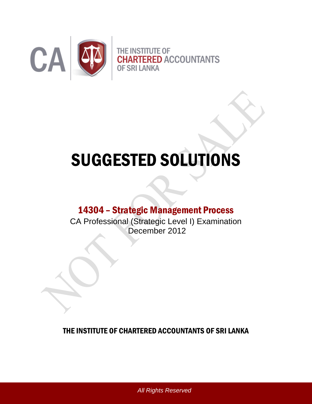

# SUGGESTED SOLUTIONS

## 14304 – Strategic Management Process

CA Professional (Strategic Level I) Examination December 2012

THE INSTITUTE OF CHARTERED ACCOUNTANTS OF SRI LANKA

*All Rights Reserved*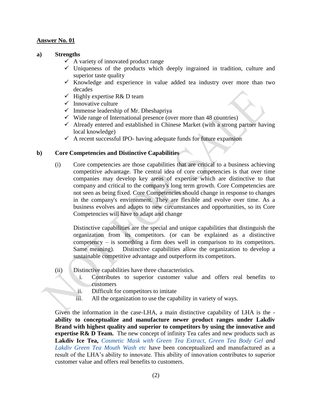#### **a) Strengths**

- $\checkmark$  A variety of innovated product range
- $\checkmark$  Uniqueness of the products which deeply ingrained in tradition, culture and superior taste quality
- $\checkmark$  Knowledge and experience in value added tea industry over more than two decades
- $\checkmark$  Highly expertise R& D team
- $\checkmark$  Innovative culture
- $\checkmark$  Immense leadership of Mr. Dheshapriya
- $\checkmark$  Wide range of International presence (over more than 48 countries)
- $\checkmark$  Already entered and established in Chinese Market (with a strong partner having local knowledge)
- $\checkmark$  A recent successful IPO- having adequate funds for future expansion

#### **b) Core Competencies and Distinctive Capabilities**

(i) Core competencies are those capabilities that are critical to a business achieving competitive advantage. The central idea of core competencies is that over time companies may develop key areas of expertise which are distinctive to that company and critical to the company's long term growth. Core Competencies are not seen as being fixed. Core Competencies should change in response to changes in the company's environment. They are flexible and evolve over time. As a business evolves and adapts to new circumstances and opportunities, so its Core Competencies will have to adapt and change

Distinctive capabilities are the special and unique capabilities that distinguish the organization from its competitors. (or can be explained as a distinctive competency – is something a firm does well in comparison to its competitors. Same meaning). Distinctive capabilities allow the organization to develop a sustainable competitive advantage and outperform its competitors.

- (ii) Distinctive capabilities have three characteristics.
	- i. Contributes to superior customer value and offers real benefits to customers
	- ii. Difficult for competitors to imitate
	- iii. All the organization to use the capability in variety of ways.

Given the information in the case-LHA, a main distinctive capability of LHA is the **ability to conceptualize and manufacture newer product ranges under Lakdiv Brand with highest quality and superior to competitors by using the innovative and expertise R& D Team.** The new concept of infinity Tea cafes and new products such as **Lakdiv Ice Tea,** *Cosmetic Mask with Green Tea Extract, Green Tea Body Gel and Lakdiv Green Tea Mouth Wash etc* have been conceptualized and manufactured as a result of the LHA"s ability to innovate. This ability of innovation contributes to superior customer value and offers real benefits to customers.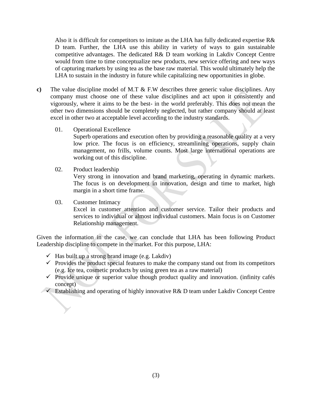Also it is difficult for competitors to imitate as the LHA has fully dedicated expertise R& D team. Further, the LHA use this ability in variety of ways to gain sustainable competitive advantages. The dedicated R& D team working in Lakdiv Concept Centre would from time to time conceptualize new products, new service offering and new ways of capturing markets by using tea as the base raw material. This would ultimately help the LHA to sustain in the industry in future while capitalizing new opportunities in globe.

- **c)** The value discipline model of M.T & F.W describes three generic value disciplines. Any company must choose one of these value disciplines and act upon it consistently and vigorously, where it aims to be the best- in the world preferably. This does not mean the other two dimensions should be completely neglected, but rather company should at least excel in other two at acceptable level according to the industry standards.
	- 01. Operational Excellence

Superb operations and execution often by providing a reasonable quality at a very low price. The focus is on efficiency, streamlining operations, supply chain management, no frills, volume counts. Most large international operations are working out of this discipline.

02. Product leadership

Very strong in innovation and brand marketing, operating in dynamic markets. The focus is on development in innovation, design and time to market, high margin in a short time frame.

#### 03. Customer Intimacy Excel in customer attention and customer service. Tailor their products and services to individual or almost individual customers. Main focus is on Customer Relationship management.

Given the information in the case, we can conclude that LHA has been following Product Leadership discipline to compete in the market. For this purpose, LHA:

- $\checkmark$  Has built up a strong brand image (e.g. Lakdiv)
- $\checkmark$  Provides the product special features to make the company stand out from its competitors (e.g. Ice tea, cosmetic products by using green tea as a raw material)
- $\checkmark$  Provide unique or superior value though product quality and innovation. (infinity cafés concept)
- $\checkmark$  Establishing and operating of highly innovative R& D team under Lakdiv Concept Centre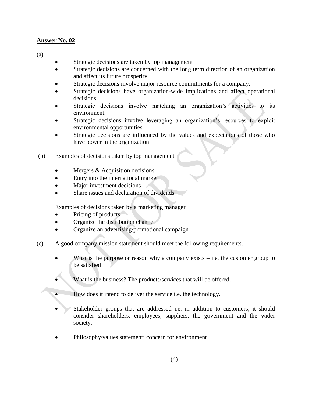(a)

- Strategic decisions are taken by top management
- Strategic decisions are concerned with the long term direction of an organization and affect its future prosperity.
- Strategic decisions involve major resource commitments for a company.
- Strategic decisions have organization-wide implications and affect operational decisions.
- Strategic decisions involve matching an organization"s activities to its environment.
- Strategic decisions involve leveraging an organization's resources to exploit environmental opportunities
- Strategic decisions are influenced by the values and expectations of those who have power in the organization
- (b) Examples of decisions taken by top management
	- Mergers & Acquisition decisions
	- Entry into the international market
	- Major investment decisions
	- Share issues and declaration of dividends

Examples of decisions taken by a marketing manager

- Pricing of products
- Organize the distribution channel
- Organize an advertising/promotional campaign
- (c) A good company mission statement should meet the following requirements.
	- What is the purpose or reason why a company exists  $-$  i.e. the customer group to be satisfied
	- What is the business? The products/services that will be offered.
	- How does it intend to deliver the service i.e. the technology.
	- Stakeholder groups that are addressed i.e. in addition to customers, it should consider shareholders, employees, suppliers, the government and the wider society.
	- Philosophy/values statement: concern for environment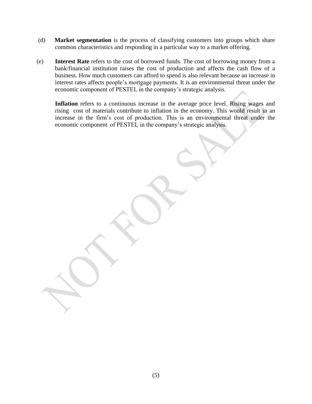- (d) **Market segmentation** is the process of classifying customers into groups which share common characteristics and responding in a particular way to a market offering.
- (e) **Interest Rate** refers to the cost of borrowed funds. The cost of borrowing money from a bank/financial institution raises the cost of production and affects the cash flow of a business. How much customers can afford to spend is also relevant because an increase in interest rates affects people"s mortgage payments. It is an environmental threat under the economic component of PESTEL in the company"s strategic analysis.

**Inflation** refers to a continuous increase in the average price level. Rising wages and rising cost of materials contribute to inflation in the economy. This would result in an increase in the firm"s cost of production. This is an environmental threat under the economic component of PESTEL in the company"s strategic analysis.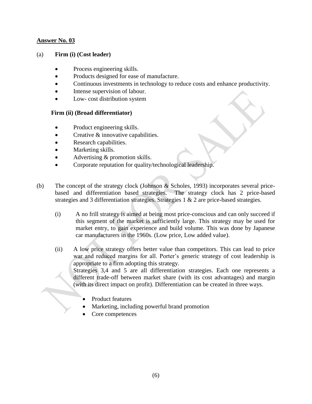#### (a) **Firm (i) (Cost leader)**

- Process engineering skills.
- Products designed for ease of manufacture.
- Continuous investments in technology to reduce costs and enhance productivity.
- Intense supervision of labour.
- Low- cost distribution system

#### **Firm (ii) (Broad differentiator)**

- Product engineering skills.
- Creative & innovative capabilities.
- Research capabilities.
- Marketing skills.
- Advertising & promotion skills.
- Corporate reputation for quality/technological leadership.
- (b) The concept of the strategy clock (Johnson & Scholes, 1993) incorporates several pricebased and differentiation based strategies. The strategy clock has 2 price-based strategies and 3 differentiation strategies. Strategies 1 & 2 are price-based strategies.
	- (i) A no frill strategy is aimed at being most price-conscious and can only succeed if this segment of the market is sufficiently large. This strategy may be used for market entry, to gain experience and build volume. This was done by Japanese car manufacturers in the 1960s. (Low price, Low added value).
	- (ii) A low price strategy offers better value than competitors. This can lead to price war and reduced margins for all. Porter's generic strategy of cost leadership is appropriate to a firm adopting this strategy. Strategies 3,4 and 5 are all differentiation strategies. Each one represents a different trade-off between market share (with its cost advantages) and margin (with its direct impact on profit). Differentiation can be created in three ways.
		- Product features
		- Marketing, including powerful brand promotion
		- Core competences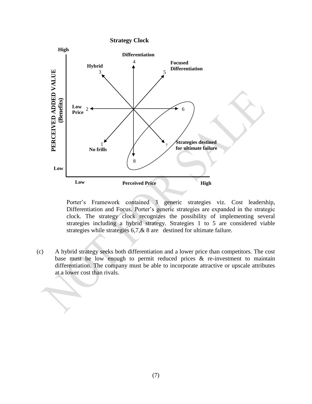

Porter"s Framework contained 3 generic strategies viz. Cost leadership, Differentiation and Focus. Porter"s generic strategies are expanded in the strategic clock. The strategy clock recognizes the possibility of implementing several strategies including a hybrid strategy. Strategies 1 to 5 are considered viable strategies while strategies 6,7,& 8 are destined for ultimate failure.

(c) A hybrid strategy seeks both differentiation and a lower price than competitors. The cost base must be low enough to permit reduced prices  $\&$  re-investment to maintain differentiation. The company must be able to incorporate attractive or upscale attributes at a lower cost than rivals.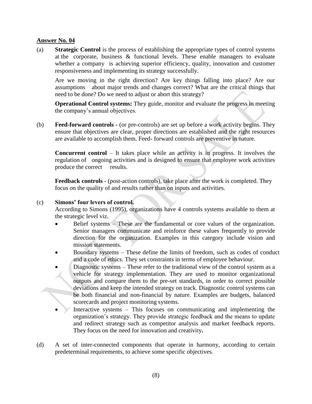(a) **Strategic Control** is the process of establishing the appropriate types of control systems at the corporate, business & functional levels. These enable managers to evaluate whether a company is achieving superior efficiency, quality, innovation and customer responsiveness and implementing its strategy successfully.

Are we moving in the right direction? Are key things falling into place? Are our assumptions about major trends and changes correct? What are the critical things that need to be done? Do we need to adjust or abort this strategy?

**Operational Control systems:** They guide, monitor and evaluate the progress in meeting the company"s annual objectives.

(b) **Feed-forward controls -** (or pre-controls) are set up before a work activity begins. They ensure that objectives are clear, proper directions are established and the right resources are available to accomplish them. Feed- forward controls are preventive in nature.

**Concurrent control** – It takes place while an activity is in progress. It involves the regulation of ongoing activities and is designed to ensure that employee work activities produce the correct results.

**Feedback controls** - (post-action controls), take place after the work is completed. They focus on the quality of and results rather than on inputs and activities.

#### (c) **Simons' four levers of control.**

According to Simons (1995), organizations have 4 controls systems available to them at the strategic level viz.

- Belief systems These are the fundamental or core values of the organization. Senior managers communicate and reinforce these values frequently to provide direction for the organization. Examples in this category include vision and mission statements.
- Boundary systems These define the limits of freedom, such as codes of conduct and a code of ethics. They set constraints in terms of employee behaviour.
- Diagnostic systems These refer to the traditional view of the control system as a vehicle for strategy implementation. They are used to monitor organizational outputs and compare them to the pre-set standards, in order to correct possible deviations and keep the intended strategy on track. Diagnostic control systems can be both financial and non-financial by nature. Examples are budgets, balanced scorecards and project monitoring systems.
- Interactive systems This focuses on communicating and implementing the organization"s strategy. They provide strategic feedback and the means to update and redirect strategy such as competitor analysis and market feedback reports. They focus on the need for innovation and creativity**.**
- (d) A set of inter-connected components that operate in harmony, according to certain predeterminal requirements, to achieve some specific objectives.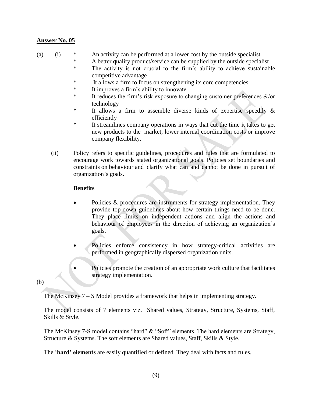- (a) (i) \* An activity can be performed at a lower cost by the outside specialist
	- \* A better quality product/service can be supplied by the outside specialist \* The activity is not crucial to the firm"s ability to achieve sustainable competitive advantage
	- \* It allows a firm to focus on strengthening its core competencies
	- \* It improves a firm"s ability to innovate
	- \* It reduces the firm's risk exposure to changing customer preferences  $\&$ /or technology
	- \* It allows a firm to assemble diverse kinds of expertise speedily & efficiently
	- \* It streamlines company operations in ways that cut the time it takes to get new products to the market, lower internal coordination costs or improve company flexibility.
	- (ii) Policy refers to specific guidelines, procedures and rules that are formulated to encourage work towards stated organizational goals. Policies set boundaries and constraints on behaviour and clarify what can and cannot be done in pursuit of organization"s goals.

#### **Benefits**

- Policies & procedures are instruments for strategy implementation. They provide top-down guidelines about how certain things need to be done. They place limits on independent actions and align the actions and behaviour of employees in the direction of achieving an organization's goals.
- Policies enforce consistency in how strategy-critical activities are performed in geographically dispersed organization units.
	- Policies promote the creation of an appropriate work culture that facilitates strategy implementation.

#### (b)

The McKinsey  $7 - S$  Model provides a framework that helps in implementing strategy.

The model consists of 7 elements viz. Shared values, Strategy, Structure, Systems, Staff, Skills & Style.

The McKinsey 7-S model contains "hard" & "Soft" elements. The hard elements are Strategy, Structure & Systems. The soft elements are Shared values, Staff, Skills & Style.

The "**hard' elements** are easily quantified or defined. They deal with facts and rules.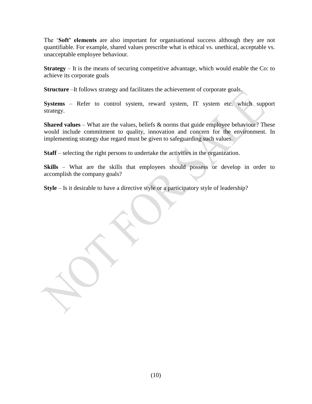The "**Soft' elements** are also important for organisational success although they are not quantifiable. For example, shared values prescribe what is ethical vs. unethical, acceptable vs. unacceptable employee behaviour.

**Strategy** – It is the means of securing competitive advantage, which would enable the Co: to achieve its corporate goals

**Structure** –It follows strategy and facilitates the achievement of corporate goals.

**Systems** – Refer to control system, reward system, IT system etc. which support strategy.

**Shared values** – What are the values, beliefs & norms that guide employee behaviour? These would include commitment to quality, innovation and concern for the environment. In implementing strategy due regard must be given to safeguarding such values.

**Staff** – selecting the right persons to undertake the activities in the organization.

**Skills** – What are the skills that employees should possess or develop in order to accomplish the company goals?

**Style** – Is it desirable to have a directive style or a participatory style of leadership?